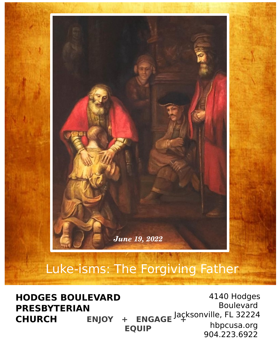

# Luke-isms: The Forgiving Father

**ENJOY + ENGAGE**<sup>J</sup><sup>4</sup> **EQUIP**  4140 Hodges Boulevard Jacksonville, FL 32224 hbpcusa.org 904.223.6922 **HODGES BOULEVARD PRESBYTERIAN CHURCH**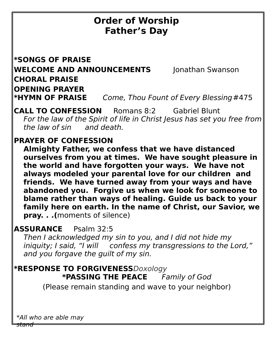# **Order of Worship Father's Day**

**\*SONGS OF PRAISE WELCOME AND ANNOUNCEMENTS** Jonathan Swanson **CHORAL PRAISE OPENING PRAYER \*HYMN OF PRAISE** Come, Thou Fount of Every Blessing#475

**CALL TO CONFESSION** Romans 8:2 Gabriel Blunt For the law of the Spirit of life in Christ Jesus has set you free from the law of sin and death.

### **PRAYER OF CONFESSION**

**Almighty Father, we confess that we have distanced ourselves from you at times. We have sought pleasure in the world and have forgotten your ways. We have not always modeled your parental love for our children and friends. We have turned away from your ways and have abandoned you. Forgive us when we look for someone to blame rather than ways of healing. Guide us back to your family here on earth. In the name of Christ, our Savior, we pray. . .(**moments of silence)

## **ASSURANCE** Psalm 32:5

Then I acknowledged my sin to you, and I did not hide my iniquity; I said, "I will confess my transgressions to the Lord," and you forgave the guilt of my sin.

**\*RESPONSE TO FORGIVENESS**Doxology **\*PASSING THE PEACE** Family of God (Please remain standing and wave to your neighbor)

\*All who are able may

stand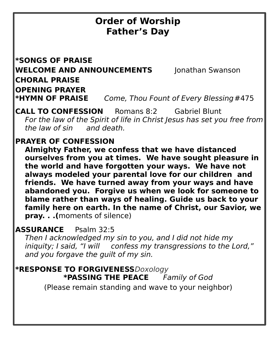# **Order of Worship Father's Day**

**\*SONGS OF PRAISE WELCOME AND ANNOUNCEMENTS** Jonathan Swanson **CHORAL PRAISE OPENING PRAYER \*HYMN OF PRAISE** Come, Thou Fount of Every Blessing#475

**CALL TO CONFESSION** Romans 8:2 Gabriel Blunt For the law of the Spirit of life in Christ Jesus has set you free from the law of sin and death.

#### **PRAYER OF CONFESSION**

**Almighty Father, we confess that we have distanced ourselves from you at times. We have sought pleasure in the world and have forgotten your ways. We have not always modeled your parental love for our children and friends. We have turned away from your ways and have abandoned you. Forgive us when we look for someone to blame rather than ways of healing. Guide us back to your family here on earth. In the name of Christ, our Savior, we pray. . .(**moments of silence)

#### **ASSURANCE** Psalm 32:5

Then I acknowledged my sin to you, and I did not hide my iniquity; I said, "I will confess my transgressions to the Lord," and you forgave the guilt of my sin.

**\*RESPONSE TO FORGIVENESS**Doxology **\*PASSING THE PEACE** Family of God (Please remain standing and wave to your neighbor)